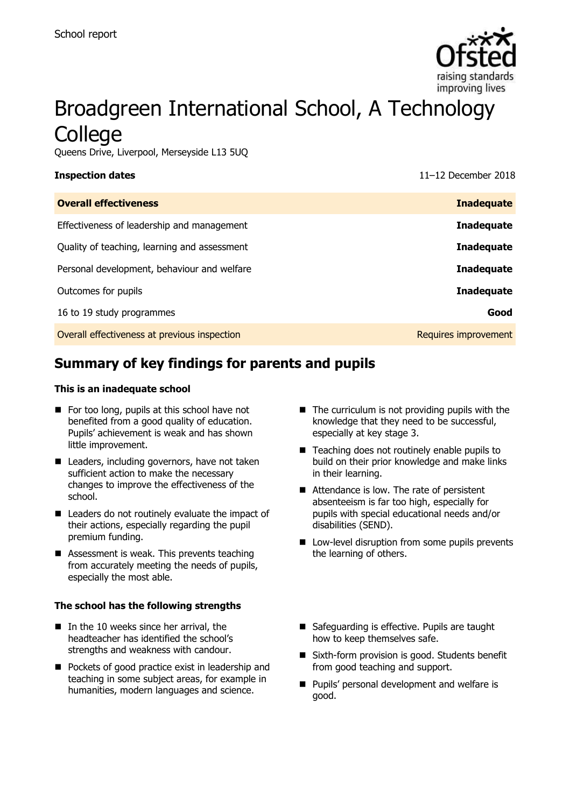

# Broadgreen International School, A Technology **College**

Queens Drive, Liverpool, Merseyside L13 5UQ

**Inspection dates** 11–12 December 2018

| <b>Inadequate</b>    |
|----------------------|
| <b>Inadequate</b>    |
| <b>Inadequate</b>    |
| <b>Inadequate</b>    |
| <b>Inadequate</b>    |
| Good                 |
| Requires improvement |
|                      |

# **Summary of key findings for parents and pupils**

### **This is an inadequate school**

- $\blacksquare$  For too long, pupils at this school have not benefited from a good quality of education. Pupils' achievement is weak and has shown little improvement.
- Leaders, including governors, have not taken sufficient action to make the necessary changes to improve the effectiveness of the school.
- Leaders do not routinely evaluate the impact of their actions, especially regarding the pupil premium funding.
- Assessment is weak. This prevents teaching from accurately meeting the needs of pupils, especially the most able.

### **The school has the following strengths**

- $\blacksquare$  In the 10 weeks since her arrival, the headteacher has identified the school's strengths and weakness with candour.
- Pockets of good practice exist in leadership and teaching in some subject areas, for example in humanities, modern languages and science.
- $\blacksquare$  The curriculum is not providing pupils with the knowledge that they need to be successful, especially at key stage 3.
- $\blacksquare$  Teaching does not routinely enable pupils to build on their prior knowledge and make links in their learning.
- Attendance is low. The rate of persistent absenteeism is far too high, especially for pupils with special educational needs and/or disabilities (SEND).
- Low-level disruption from some pupils prevents the learning of others.
- Safeguarding is effective. Pupils are taught how to keep themselves safe.
- Sixth-form provision is good. Students benefit from good teaching and support.
- **Pupils' personal development and welfare is** good.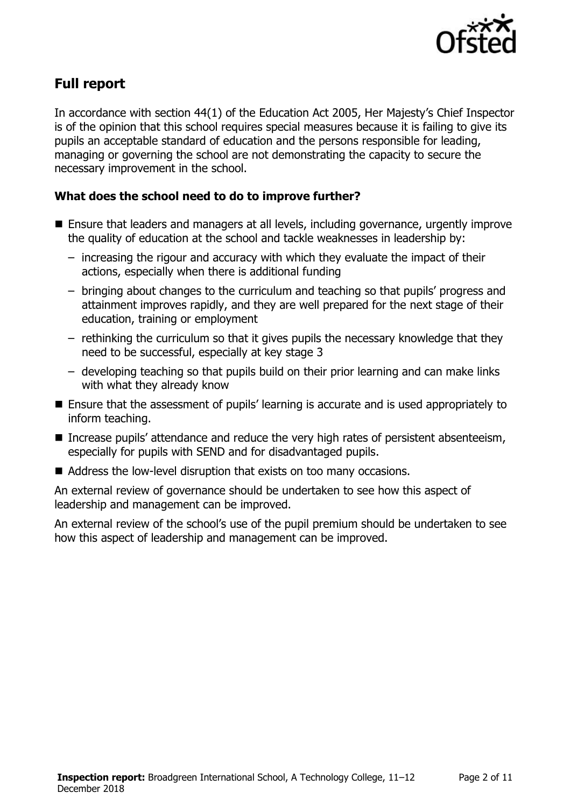

# **Full report**

In accordance with section 44(1) of the Education Act 2005, Her Majesty's Chief Inspector is of the opinion that this school requires special measures because it is failing to give its pupils an acceptable standard of education and the persons responsible for leading, managing or governing the school are not demonstrating the capacity to secure the necessary improvement in the school.

### **What does the school need to do to improve further?**

- Ensure that leaders and managers at all levels, including governance, urgently improve the quality of education at the school and tackle weaknesses in leadership by:
	- increasing the rigour and accuracy with which they evaluate the impact of their actions, especially when there is additional funding
	- bringing about changes to the curriculum and teaching so that pupils' progress and attainment improves rapidly, and they are well prepared for the next stage of their education, training or employment
	- rethinking the curriculum so that it gives pupils the necessary knowledge that they need to be successful, especially at key stage 3
	- developing teaching so that pupils build on their prior learning and can make links with what they already know
- Ensure that the assessment of pupils' learning is accurate and is used appropriately to inform teaching.
- Increase pupils' attendance and reduce the very high rates of persistent absenteeism, especially for pupils with SEND and for disadvantaged pupils.
- Address the low-level disruption that exists on too many occasions.

An external review of governance should be undertaken to see how this aspect of leadership and management can be improved.

An external review of the school's use of the pupil premium should be undertaken to see how this aspect of leadership and management can be improved.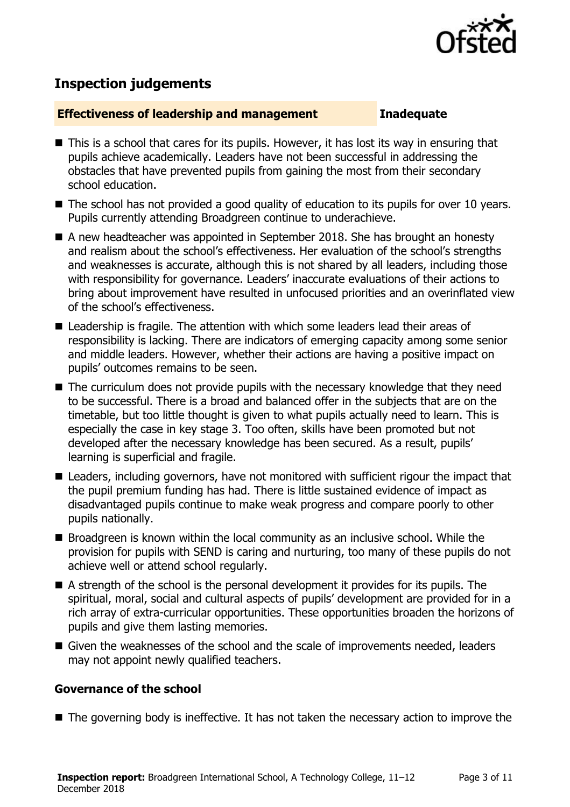

# **Inspection judgements**

### **Effectiveness of leadership and management Inadequate**

- This is a school that cares for its pupils. However, it has lost its way in ensuring that pupils achieve academically. Leaders have not been successful in addressing the obstacles that have prevented pupils from gaining the most from their secondary school education.
- The school has not provided a good quality of education to its pupils for over 10 years. Pupils currently attending Broadgreen continue to underachieve.
- A new headteacher was appointed in September 2018. She has brought an honesty and realism about the school's effectiveness. Her evaluation of the school's strengths and weaknesses is accurate, although this is not shared by all leaders, including those with responsibility for governance. Leaders' inaccurate evaluations of their actions to bring about improvement have resulted in unfocused priorities and an overinflated view of the school's effectiveness.
- Leadership is fragile. The attention with which some leaders lead their areas of responsibility is lacking. There are indicators of emerging capacity among some senior and middle leaders. However, whether their actions are having a positive impact on pupils' outcomes remains to be seen.
- The curriculum does not provide pupils with the necessary knowledge that they need to be successful. There is a broad and balanced offer in the subjects that are on the timetable, but too little thought is given to what pupils actually need to learn. This is especially the case in key stage 3. Too often, skills have been promoted but not developed after the necessary knowledge has been secured. As a result, pupils' learning is superficial and fragile.
- Leaders, including governors, have not monitored with sufficient rigour the impact that the pupil premium funding has had. There is little sustained evidence of impact as disadvantaged pupils continue to make weak progress and compare poorly to other pupils nationally.
- $\blacksquare$  Broadgreen is known within the local community as an inclusive school. While the provision for pupils with SEND is caring and nurturing, too many of these pupils do not achieve well or attend school regularly.
- A strength of the school is the personal development it provides for its pupils. The spiritual, moral, social and cultural aspects of pupils' development are provided for in a rich array of extra-curricular opportunities. These opportunities broaden the horizons of pupils and give them lasting memories.
- Given the weaknesses of the school and the scale of improvements needed, leaders may not appoint newly qualified teachers.

### **Governance of the school**

■ The governing body is ineffective. It has not taken the necessary action to improve the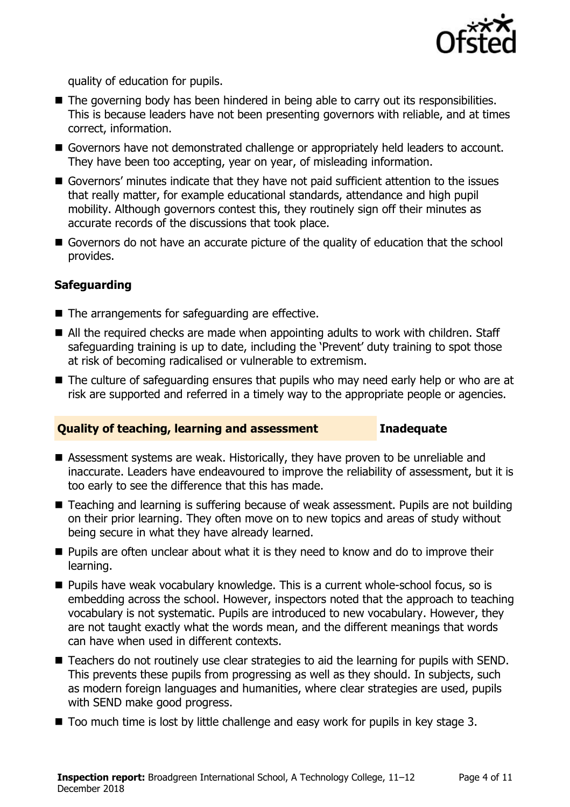

quality of education for pupils.

- The governing body has been hindered in being able to carry out its responsibilities. This is because leaders have not been presenting governors with reliable, and at times correct, information.
- Governors have not demonstrated challenge or appropriately held leaders to account. They have been too accepting, year on year, of misleading information.
- Governors' minutes indicate that they have not paid sufficient attention to the issues that really matter, for example educational standards, attendance and high pupil mobility. Although governors contest this, they routinely sign off their minutes as accurate records of the discussions that took place.
- Governors do not have an accurate picture of the quality of education that the school provides.

### **Safeguarding**

- The arrangements for safeguarding are effective.
- All the required checks are made when appointing adults to work with children. Staff safeguarding training is up to date, including the 'Prevent' duty training to spot those at risk of becoming radicalised or vulnerable to extremism.
- The culture of safeguarding ensures that pupils who may need early help or who are at risk are supported and referred in a timely way to the appropriate people or agencies.

### **Quality of teaching, learning and assessment Inadequate**

- Assessment systems are weak. Historically, they have proven to be unreliable and inaccurate. Leaders have endeavoured to improve the reliability of assessment, but it is too early to see the difference that this has made.
- Teaching and learning is suffering because of weak assessment. Pupils are not building on their prior learning. They often move on to new topics and areas of study without being secure in what they have already learned.
- **Pupils are often unclear about what it is they need to know and do to improve their** learning.
- Pupils have weak vocabulary knowledge. This is a current whole-school focus, so is embedding across the school. However, inspectors noted that the approach to teaching vocabulary is not systematic. Pupils are introduced to new vocabulary. However, they are not taught exactly what the words mean, and the different meanings that words can have when used in different contexts.
- Teachers do not routinely use clear strategies to aid the learning for pupils with SEND. This prevents these pupils from progressing as well as they should. In subjects, such as modern foreign languages and humanities, where clear strategies are used, pupils with SEND make good progress.
- $\blacksquare$  Too much time is lost by little challenge and easy work for pupils in key stage 3.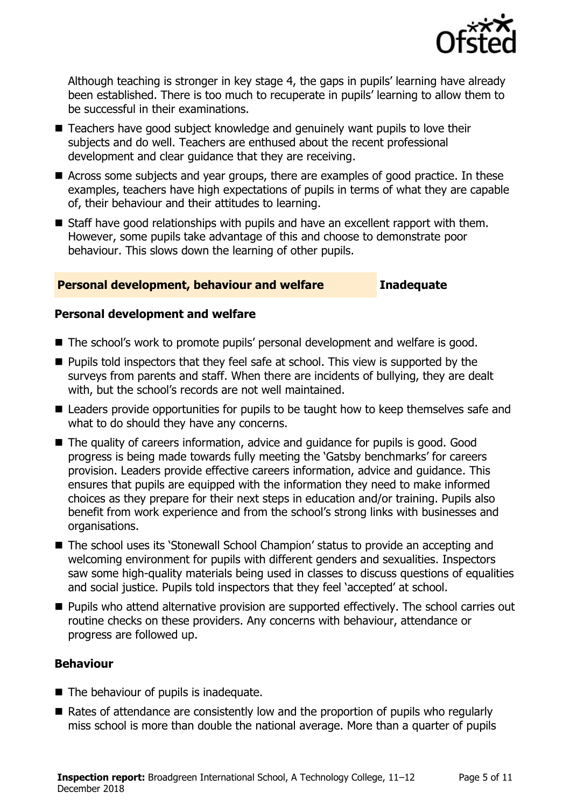

Although teaching is stronger in key stage 4, the gaps in pupils' learning have already been established. There is too much to recuperate in pupils' learning to allow them to be successful in their examinations.

- Teachers have good subject knowledge and genuinely want pupils to love their subjects and do well. Teachers are enthused about the recent professional development and clear guidance that they are receiving.
- Across some subjects and year groups, there are examples of good practice. In these examples, teachers have high expectations of pupils in terms of what they are capable of, their behaviour and their attitudes to learning.
- Staff have good relationships with pupils and have an excellent rapport with them. However, some pupils take advantage of this and choose to demonstrate poor behaviour. This slows down the learning of other pupils.

### **Personal development, behaviour and welfare Inadequate**

### **Personal development and welfare**

- The school's work to promote pupils' personal development and welfare is good.
- **Pupils told inspectors that they feel safe at school. This view is supported by the** surveys from parents and staff. When there are incidents of bullying, they are dealt with, but the school's records are not well maintained.
- Leaders provide opportunities for pupils to be taught how to keep themselves safe and what to do should they have any concerns.
- The quality of careers information, advice and quidance for pupils is good. Good progress is being made towards fully meeting the 'Gatsby benchmarks' for careers provision. Leaders provide effective careers information, advice and guidance. This ensures that pupils are equipped with the information they need to make informed choices as they prepare for their next steps in education and/or training. Pupils also benefit from work experience and from the school's strong links with businesses and organisations.
- The school uses its 'Stonewall School Champion' status to provide an accepting and welcoming environment for pupils with different genders and sexualities. Inspectors saw some high-quality materials being used in classes to discuss questions of equalities and social justice. Pupils told inspectors that they feel 'accepted' at school.
- **Pupils who attend alternative provision are supported effectively. The school carries out** routine checks on these providers. Any concerns with behaviour, attendance or progress are followed up.

### **Behaviour**

- The behaviour of pupils is inadequate.
- Rates of attendance are consistently low and the proportion of pupils who regularly miss school is more than double the national average. More than a quarter of pupils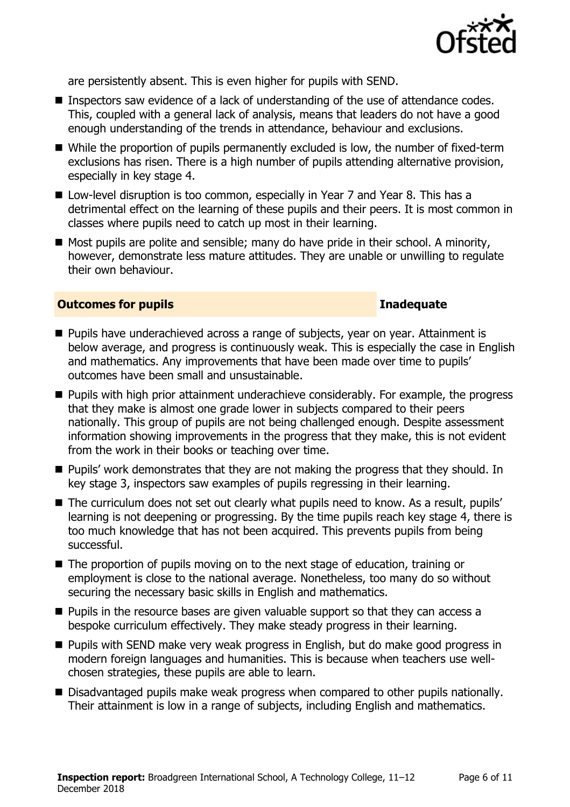

are persistently absent. This is even higher for pupils with SEND.

- Inspectors saw evidence of a lack of understanding of the use of attendance codes. This, coupled with a general lack of analysis, means that leaders do not have a good enough understanding of the trends in attendance, behaviour and exclusions.
- While the proportion of pupils permanently excluded is low, the number of fixed-term exclusions has risen. There is a high number of pupils attending alternative provision, especially in key stage 4.
- Low-level disruption is too common, especially in Year 7 and Year 8. This has a detrimental effect on the learning of these pupils and their peers. It is most common in classes where pupils need to catch up most in their learning.
- Most pupils are polite and sensible; many do have pride in their school. A minority, however, demonstrate less mature attitudes. They are unable or unwilling to regulate their own behaviour.

### **Outcomes for pupils Inadequate**

- **Pupils have underachieved across a range of subjects, year on year. Attainment is** below average, and progress is continuously weak. This is especially the case in English and mathematics. Any improvements that have been made over time to pupils' outcomes have been small and unsustainable.
- **Pupils with high prior attainment underachieve considerably. For example, the progress** that they make is almost one grade lower in subjects compared to their peers nationally. This group of pupils are not being challenged enough. Despite assessment information showing improvements in the progress that they make, this is not evident from the work in their books or teaching over time.
- **Pupils'** work demonstrates that they are not making the progress that they should. In key stage 3, inspectors saw examples of pupils regressing in their learning.
- The curriculum does not set out clearly what pupils need to know. As a result, pupils' learning is not deepening or progressing. By the time pupils reach key stage 4, there is too much knowledge that has not been acquired. This prevents pupils from being successful.
- The proportion of pupils moving on to the next stage of education, training or employment is close to the national average. Nonetheless, too many do so without securing the necessary basic skills in English and mathematics.
- $\blacksquare$  Pupils in the resource bases are given valuable support so that they can access a bespoke curriculum effectively. They make steady progress in their learning.
- **Pupils with SEND make very weak progress in English, but do make good progress in** modern foreign languages and humanities. This is because when teachers use wellchosen strategies, these pupils are able to learn.
- Disadvantaged pupils make weak progress when compared to other pupils nationally. Their attainment is low in a range of subjects, including English and mathematics.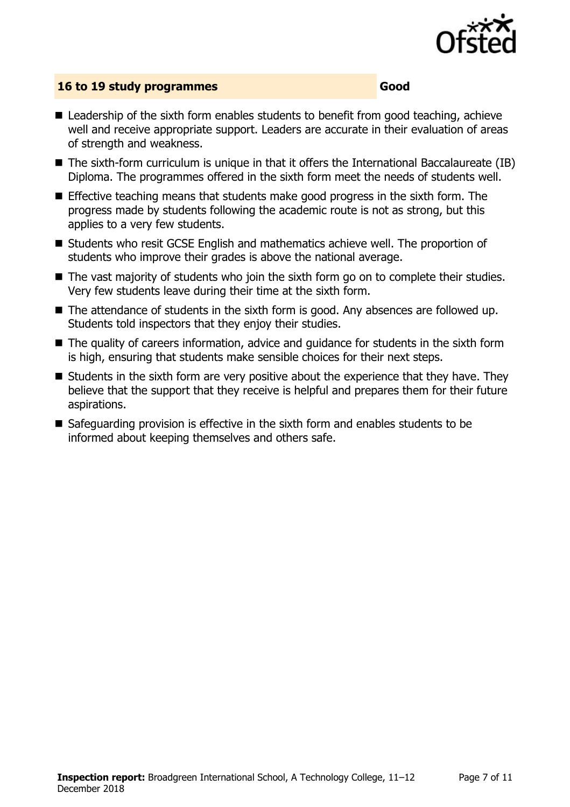

### **16 to 19 study programmes Good**

- Leadership of the sixth form enables students to benefit from good teaching, achieve well and receive appropriate support. Leaders are accurate in their evaluation of areas of strength and weakness.
- The sixth-form curriculum is unique in that it offers the International Baccalaureate (IB) Diploma. The programmes offered in the sixth form meet the needs of students well.
- Effective teaching means that students make good progress in the sixth form. The progress made by students following the academic route is not as strong, but this applies to a very few students.
- Students who resit GCSE English and mathematics achieve well. The proportion of students who improve their grades is above the national average.
- The vast majority of students who join the sixth form go on to complete their studies. Very few students leave during their time at the sixth form.
- The attendance of students in the sixth form is good. Any absences are followed up. Students told inspectors that they enjoy their studies.
- The quality of careers information, advice and quidance for students in the sixth form is high, ensuring that students make sensible choices for their next steps.
- Students in the sixth form are very positive about the experience that they have. They believe that the support that they receive is helpful and prepares them for their future aspirations.
- Safeguarding provision is effective in the sixth form and enables students to be informed about keeping themselves and others safe.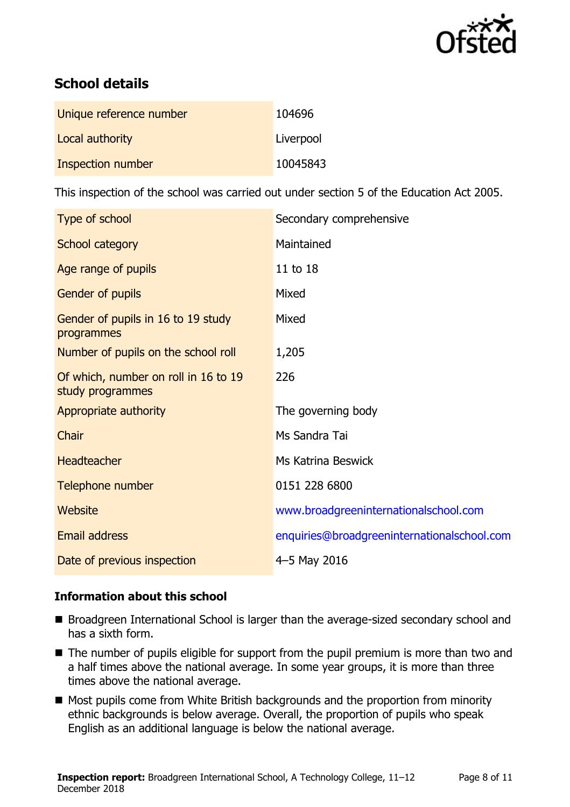

# **School details**

| Unique reference number | 104696    |
|-------------------------|-----------|
| Local authority         | Liverpool |
| Inspection number       | 10045843  |

This inspection of the school was carried out under section 5 of the Education Act 2005.

| Type of school                                           | Secondary comprehensive                     |
|----------------------------------------------------------|---------------------------------------------|
| School category                                          | Maintained                                  |
| Age range of pupils                                      | 11 to 18                                    |
| Gender of pupils                                         | Mixed                                       |
| Gender of pupils in 16 to 19 study<br>programmes         | Mixed                                       |
| Number of pupils on the school roll                      | 1,205                                       |
| Of which, number on roll in 16 to 19<br>study programmes | 226                                         |
| Appropriate authority                                    | The governing body                          |
| Chair                                                    | Ms Sandra Tai                               |
| <b>Headteacher</b>                                       | Ms Katrina Beswick                          |
| Telephone number                                         | 0151 228 6800                               |
| Website                                                  | www.broadgreeninternationalschool.com       |
| Email address                                            | enquiries@broadgreeninternationalschool.com |
| Date of previous inspection                              | 4-5 May 2016                                |

### **Information about this school**

- **Broadgreen International School is larger than the average-sized secondary school and** has a sixth form.
- The number of pupils eligible for support from the pupil premium is more than two and a half times above the national average. In some year groups, it is more than three times above the national average.
- Most pupils come from White British backgrounds and the proportion from minority ethnic backgrounds is below average. Overall, the proportion of pupils who speak English as an additional language is below the national average.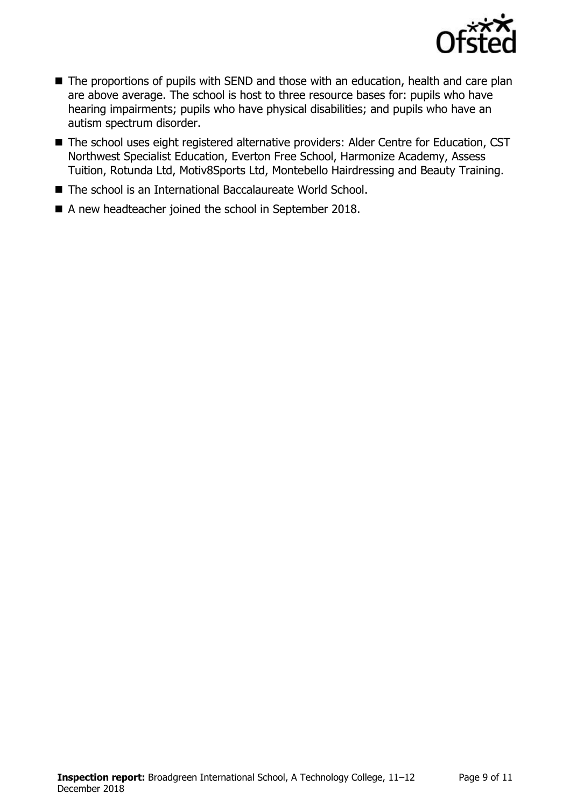

- The proportions of pupils with SEND and those with an education, health and care plan are above average. The school is host to three resource bases for: pupils who have hearing impairments; pupils who have physical disabilities; and pupils who have an autism spectrum disorder.
- The school uses eight registered alternative providers: Alder Centre for Education, CST Northwest Specialist Education, Everton Free School, Harmonize Academy, Assess Tuition, Rotunda Ltd, Motiv8Sports Ltd, Montebello Hairdressing and Beauty Training.
- The school is an International Baccalaureate World School.
- A new headteacher joined the school in September 2018.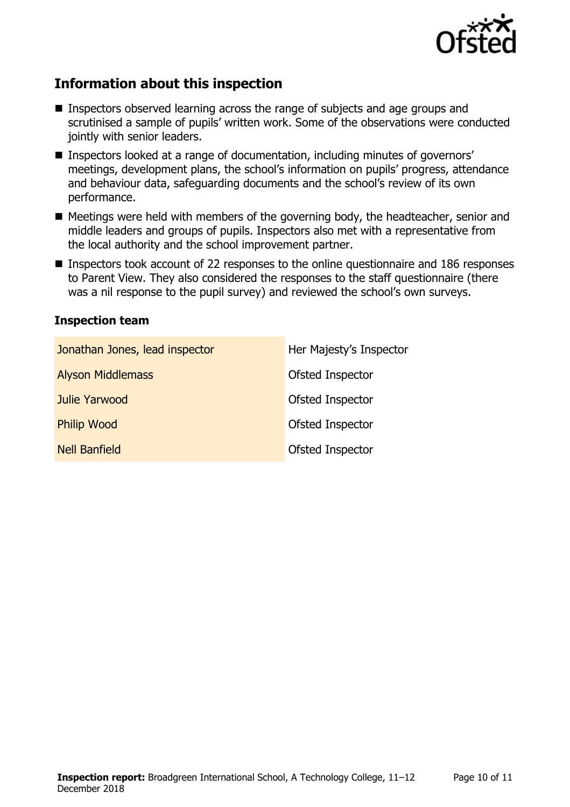

# **Information about this inspection**

- Inspectors observed learning across the range of subjects and age groups and scrutinised a sample of pupils' written work. Some of the observations were conducted jointly with senior leaders.
- Inspectors looked at a range of documentation, including minutes of governors' meetings, development plans, the school's information on pupils' progress, attendance and behaviour data, safeguarding documents and the school's review of its own performance.
- Meetings were held with members of the governing body, the headteacher, senior and middle leaders and groups of pupils. Inspectors also met with a representative from the local authority and the school improvement partner.
- Inspectors took account of 22 responses to the online questionnaire and 186 responses to Parent View. They also considered the responses to the staff questionnaire (there was a nil response to the pupil survey) and reviewed the school's own surveys.

### **Inspection team**

| Jonathan Jones, lead inspector | Her Majesty's Inspector |
|--------------------------------|-------------------------|
| <b>Alyson Middlemass</b>       | Ofsted Inspector        |
| Julie Yarwood                  | Ofsted Inspector        |
| <b>Philip Wood</b>             | Ofsted Inspector        |
| <b>Nell Banfield</b>           | Ofsted Inspector        |